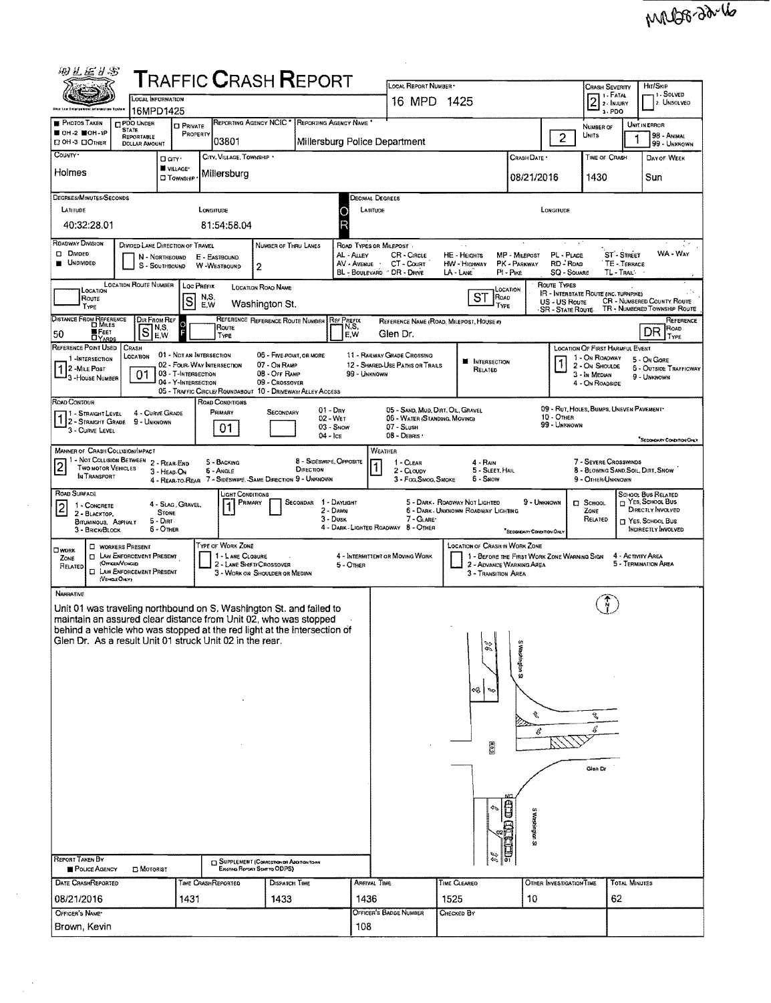| 由五巨升影                                                                                                                             |                                                                                         |                                                        |                    |                                    | <b>TRAFFIC CRASH REPORT</b>                                 |                         |                                   |                                                                    |                     |                                                                     |                                             |                                          |                                                        |                         |                                                                   |
|-----------------------------------------------------------------------------------------------------------------------------------|-----------------------------------------------------------------------------------------|--------------------------------------------------------|--------------------|------------------------------------|-------------------------------------------------------------|-------------------------|-----------------------------------|--------------------------------------------------------------------|---------------------|---------------------------------------------------------------------|---------------------------------------------|------------------------------------------|--------------------------------------------------------|-------------------------|-------------------------------------------------------------------|
|                                                                                                                                   | LOCAL INFORMATION                                                                       |                                                        |                    |                                    |                                                             |                         |                                   | LOCAL REPORT NUMBER<br>16 MPD 1425                                 |                     |                                                                     |                                             |                                          | <b>CRASH SEVERITY</b><br>1 - Fatal<br>$\boxed{2}$      |                         | HIT/SKIP<br>1 - SOLVED<br>2. Unsolved                             |
| <b>Dikis Law Enlargemen</b>                                                                                                       | 16MPD1425                                                                               |                                                        |                    |                                    |                                                             |                         |                                   |                                                                    |                     |                                                                     |                                             |                                          | 2 - INJURY<br>$3 - PDO$                                |                         |                                                                   |
| <b>F</b> PHOTOS TAKEN<br>■ ОН-2 ■ОН-1Р                                                                                            | <b>PDO UNDER</b><br><b>STATE</b><br>REPORTABLE                                          | <b>D</b> PRIVATE<br>PROPERTY                           |                    |                                    | REPORTING AGENCY NCIC * REPORTING AGENCY NAME               |                         |                                   |                                                                    |                     |                                                                     |                                             | $\overline{c}$                           | NUMBER OF<br>UNITS                                     |                         | UNIT IN ERROR<br>98 - Animal                                      |
| П ОН-3 ПОТНЕВ<br>COUNTY <sup>.</sup>                                                                                              | DOLLAR AMOUNT                                                                           |                                                        |                    | 03801<br>CITY, VILLAGE, TOWNSHIP . |                                                             |                         |                                   | Millersburg Police Department                                      |                     |                                                                     |                                             |                                          |                                                        |                         | 99 - UNKNOWN                                                      |
| Holmes                                                                                                                            |                                                                                         | D an .<br><b>W</b> VILLAGE*                            |                    | Millersburg                        |                                                             |                         |                                   |                                                                    |                     |                                                                     | CRASH DATE *                                |                                          | TIME OF CRASH                                          |                         | DAY OF WEEK                                                       |
|                                                                                                                                   |                                                                                         | <b>CI TOWNSHIP</b>                                     |                    |                                    |                                                             |                         |                                   |                                                                    |                     |                                                                     | 08/21/2016                                  |                                          | 1430                                                   |                         | Sun                                                               |
| DEGREES/MINUTES/SECONDS<br>LATITUDE                                                                                               |                                                                                         |                                                        | LONGITUDE          |                                    |                                                             |                         |                                   | Decimal Degrees<br>LATITUDE                                        |                     |                                                                     |                                             | LONGITUDE                                |                                                        |                         |                                                                   |
| 40:32:28.01                                                                                                                       |                                                                                         |                                                        |                    | 81:54:58.04                        |                                                             |                         |                                   |                                                                    |                     |                                                                     |                                             |                                          |                                                        |                         |                                                                   |
| ROADWAY DIVISION                                                                                                                  | DIVIDED LANE DIRECTION OF TRAVEL                                                        |                                                        |                    |                                    | NUMBER OF THRU LANES                                        |                         |                                   | ROAD TYPES OR MILEPOST.                                            |                     |                                                                     |                                             |                                          |                                                        |                         |                                                                   |
| D DMDED<br><b>UNDIVIDED</b>                                                                                                       | N - Northbound                                                                          |                                                        |                    | E - EASTBOUND                      |                                                             |                         | AL - Auey<br>AV - AVENUE          | CR - CIRCLE<br>CT - Count                                          |                     | <b>HE</b> Heights                                                   | MP - MILEPOST<br>PK - PARKWAY               | PL - PLACE<br>RD - Road                  |                                                        | ST-STREET<br>TE-TERRACE | WA - WAY                                                          |
|                                                                                                                                   | s                                                                                       | - SOUTHBOUND                                           |                    | W -WESTBOUND                       | 2                                                           |                         |                                   | BL - BOULEVARD " DR - DRIVE                                        | $LA$ - $LANE$       | HW - Highway                                                        | PI - PIKE                                   | SQ - SOUARE                              |                                                        | TL - Trail:             |                                                                   |
| LOCATION<br>ROUTE                                                                                                                 | <b>LOCATION ROUTE NUMBER</b>                                                            |                                                        | Loc Prefix<br>N,S, |                                    | <b>LOCATION ROAD NAME</b>                                   |                         |                                   |                                                                    |                     | <b>ST</b><br>ROAD                                                   | LOCATION                                    | ROUTE TYPES                              | IR - INTERSTATE ROUTE (INC. TURNPIKE)                  |                         |                                                                   |
| TYPE                                                                                                                              |                                                                                         | S                                                      | E.W                |                                    | Washington St.                                              |                         |                                   |                                                                    |                     | TYPE                                                                |                                             | US - US Route<br><b>SR - STATE ROUTE</b> |                                                        |                         | <b>CR</b> - NUMBERED COUNTY ROUTE<br>TR - NUMBERED TOWNSHIP ROUTE |
| DISTANCE FROM REFERENCE<br><b>HE FEET</b><br>DYARDS<br>50                                                                         | DIR FROM REF<br>N,S,<br>$\overline{\mathbf{s}}$<br>E.W                                  |                                                        |                    | Route<br>TYPE                      | REFERENCE REFERENCE ROUTE NUMBER                            |                         | <b>Ref PREFIX</b><br>N,S,<br>E, W | REFERENCE NAME (ROAD, MILEPOST, HOUSE #)<br>Glen Dr.               |                     |                                                                     |                                             |                                          |                                                        |                         | REFERENCE<br>ROAD<br>DR                                           |
| REFERENCE POINT USED                                                                                                              | CRASH                                                                                   |                                                        |                    |                                    |                                                             |                         |                                   |                                                                    |                     |                                                                     |                                             |                                          | <b>LOCATION OF FIRST HARMFUL EVENT</b>                 |                         | TYPE                                                              |
| 1 -INTERSECTION<br>2 - MILE POST                                                                                                  | LOCATION                                                                                | 01 - Not an Intersection<br>02 - FOUR-WAY INTERSECTION |                    |                                    | 06 - FIVE-POINT, OR MORE<br>07 On RAMP                      |                         |                                   | 11 - RAILWAY GRADE CROSSING<br>12 - SHARED-USE PATHS OR TRAILS     |                     | <b>M</b> INTERSECTION<br>RELATED                                    |                                             |                                          | 1 - On ROADWAY<br>2 - ON SHOULDE                       |                         | 5 - On GORE<br><b>6 - OUTSIDE TRAFFICWAY</b>                      |
| <sup>1</sup> 3 - House Number                                                                                                     | 01                                                                                      | 03 - T-Intersection<br>04 - Y-INTERSECTION             |                    |                                    | 08 - OFF RAMP<br>09 - CROSSOVER                             |                         | 99 - Unknown                      |                                                                    |                     |                                                                     |                                             |                                          | 3 - In MEDIAN<br>4 - On ROADSIDE                       |                         | 9 - UNKNOWN                                                       |
| ROAD CONTOUR                                                                                                                      |                                                                                         |                                                        |                    | <b>ROAD CONDITIONS</b>             | 05 - TRAFFIC CIRCLE/ ROUNDABOUT 10 - DRIVEWAY/ ALLEY ACCESS |                         |                                   |                                                                    |                     |                                                                     |                                             |                                          |                                                        |                         |                                                                   |
| 11 - Straight Level<br>1 2 - STRAIGHT GRADE 9 - UNKNOWN                                                                           | 4 - CURVE GRADE                                                                         |                                                        |                    | PRIMARY                            | SECONDARY                                                   |                         | $01 - \text{Dry}$<br>02 - Wer     | 05 - SAND, MUD, DIRT, OIL, GRAVEL<br>06 - WATER (STANDING, MOVING) |                     |                                                                     |                                             | 10 - OTHER<br>99 - Unknown               | 09 - RUT, HOLES, BUMPS, UNEVEN PAVEMENT                |                         |                                                                   |
| 3 - CURVE LEVEL                                                                                                                   |                                                                                         |                                                        |                    | 01                                 |                                                             | 04 - Ice                | $03 -$ SNOW                       | 07 - SLUSH<br>08 - DEBRIS                                          |                     |                                                                     |                                             |                                          |                                                        |                         | "SECONDARY CONDITION GREY                                         |
| MANNER OF CRASH COLLISION/IMPACT<br>11 - Not Collision Between 2 - Rear-End                                                       |                                                                                         |                                                        |                    | 5 - BACKING                        |                                                             | 8 - SIDESWIPE, OPPOSITE |                                   | WEATHER<br>1 - CLEAR                                               |                     | 4 - RAIN                                                            |                                             |                                          | 7 - SEVERE CROSSWINDS                                  |                         |                                                                   |
| TWO MOTOR VEHICLES<br>In TRANSPORT                                                                                                |                                                                                         | 3 - HEAD-ON<br>4 - Rear-to-Rear                        |                    | 6 - Angle                          | 7 - SIDESWIPE, SAME DIRECTION 9 - UNKNOWN                   | DIRECTION               |                                   | 2 - CLOUDY<br>3 - Fog, Smog, Smoke                                 |                     | 5 - SLEET, HAIL<br>6 - Snow                                         |                                             |                                          | 8 - BLOWING SAND.SOIL, DIRT, SNOW<br>9 - OTHER/UNKNOWN |                         |                                                                   |
| ROAD SURFACE                                                                                                                      |                                                                                         |                                                        |                    | Light Conditions                   |                                                             |                         |                                   |                                                                    |                     |                                                                     |                                             |                                          |                                                        |                         | <b>SCHOOL BUS RELATED</b>                                         |
| 1 - CONCRETE<br>$\overline{c}$<br>2 - BLACKTOP,                                                                                   |                                                                                         | 4 - SLAG, GRAVEL.<br><b>STONE</b>                      |                    | PRIMARY                            |                                                             | SECONDAR                | 1 - Daylight<br>2 - Dawn          |                                                                    |                     | 5 - DARK - ROADWAY NOT LIGHTED<br>6 - Dark JNXNOWN ROADWAY LIGHTING | 9 - UNKNOWN                                 |                                          | □ School<br>ZONE                                       |                         | $\Box$ YES, SCHOOL BUS<br>DIRECTLY INVOLVED                       |
| BITUMINOUS, ASPHALT<br>3 - BRICK/BLOCK                                                                                            | $5 -$ Dirt<br>6 - Other                                                                 |                                                        |                    |                                    |                                                             |                         | 3 - Dusk                          | 7 - GLARE<br>4 - DARK - LIGHTED ROADWAY 8 - OTHER                  |                     |                                                                     | <sup>*</sup> SECONDARY CONDITION ONLY       |                                          | RELATED                                                |                         | <b>FT YES, SCHOOL BUS</b><br>INDIRECTLY INVOLVED                  |
| OWORK                                                                                                                             | <b>U</b> WORKERS PRESENT                                                                |                                                        |                    | TYPE OF WORK ZONE                  |                                                             |                         |                                   |                                                                    |                     | <b>LOCATION OF CRASH IN WORK ZONE</b>                               |                                             |                                          |                                                        |                         |                                                                   |
| ZONE<br>RELATED                                                                                                                   | <b>T LAW ENFORCEMENT PRESENT</b><br>(Opreer/Versier<br><b>D</b> LAW ENFORCEMENT PRESENT |                                                        |                    | 1 - LANE CLOSURE                   | 2 - LANE SHIFT/ CROSSOVER                                   |                         | 5 - Other                         | 4 - INTERMITTENT OR MOVING WORK                                    |                     | 2 - ADVANCE WARNING AREA                                            | 1 - BEFORE THE FIRST WORK ZONE WARNING SIGN |                                          |                                                        | 4 - ACTMITY AREA        | 5 - TERMINATION AREA                                              |
| (VEHOLE OHLY)                                                                                                                     |                                                                                         |                                                        |                    |                                    | 3 - WORK ON SHOULDER OR MEDIAN                              |                         |                                   |                                                                    |                     | 3 - TRANSITION AREA                                                 |                                             |                                          |                                                        |                         |                                                                   |
| <b>NARRATIVE</b><br>Unit 01 was traveling northbound on S. Washington St. and failed to                                           |                                                                                         |                                                        |                    |                                    |                                                             |                         |                                   |                                                                    |                     |                                                                     |                                             |                                          |                                                        |                         |                                                                   |
| maintain an assured clear distance from Unit 02, who was stopped                                                                  |                                                                                         |                                                        |                    |                                    |                                                             |                         |                                   |                                                                    |                     |                                                                     |                                             |                                          |                                                        |                         |                                                                   |
| behind a vehicle who was stopped at the red light at the intersection of Glen Dr. As a result Unit 01 struck Unit 02 in the rear. |                                                                                         |                                                        |                    |                                    |                                                             |                         |                                   |                                                                    |                     |                                                                     |                                             |                                          |                                                        |                         |                                                                   |
|                                                                                                                                   |                                                                                         |                                                        |                    |                                    |                                                             |                         |                                   |                                                                    |                     | 惢                                                                   | Washington                                  |                                          |                                                        |                         |                                                                   |
|                                                                                                                                   |                                                                                         |                                                        |                    |                                    |                                                             |                         |                                   |                                                                    |                     |                                                                     |                                             |                                          |                                                        |                         |                                                                   |
|                                                                                                                                   |                                                                                         |                                                        |                    |                                    |                                                             |                         |                                   |                                                                    |                     | લ્લી                                                                |                                             |                                          |                                                        |                         |                                                                   |
|                                                                                                                                   |                                                                                         |                                                        |                    |                                    |                                                             |                         |                                   |                                                                    |                     |                                                                     | s,                                          |                                          |                                                        |                         |                                                                   |
|                                                                                                                                   |                                                                                         |                                                        |                    |                                    |                                                             |                         |                                   |                                                                    |                     |                                                                     | €                                           |                                          |                                                        |                         |                                                                   |
|                                                                                                                                   |                                                                                         |                                                        |                    |                                    |                                                             |                         |                                   |                                                                    |                     | $\overline{60}$                                                     |                                             |                                          |                                                        |                         |                                                                   |
|                                                                                                                                   |                                                                                         |                                                        |                    |                                    |                                                             |                         |                                   |                                                                    |                     |                                                                     |                                             |                                          | Glen Dr                                                |                         |                                                                   |
|                                                                                                                                   |                                                                                         |                                                        |                    |                                    |                                                             |                         |                                   |                                                                    |                     |                                                                     |                                             |                                          |                                                        |                         |                                                                   |
|                                                                                                                                   |                                                                                         |                                                        |                    |                                    |                                                             |                         |                                   |                                                                    |                     |                                                                     |                                             |                                          |                                                        |                         |                                                                   |
|                                                                                                                                   |                                                                                         |                                                        |                    |                                    |                                                             |                         |                                   |                                                                    |                     |                                                                     |                                             |                                          |                                                        |                         |                                                                   |
|                                                                                                                                   |                                                                                         |                                                        |                    |                                    |                                                             |                         |                                   |                                                                    |                     |                                                                     |                                             |                                          |                                                        |                         |                                                                   |
| <b>REPORT TAKEN BY</b>                                                                                                            |                                                                                         |                                                        |                    |                                    | SUPPLEMENT (CORRECTION OF ADDITION TO AN                    |                         |                                   |                                                                    |                     |                                                                     |                                             |                                          |                                                        |                         |                                                                   |
| POLICE AGENCY                                                                                                                     | $\square$ Mororist                                                                      |                                                        |                    |                                    | Existing Report Sent to ODPS)                               |                         |                                   |                                                                    |                     |                                                                     |                                             |                                          |                                                        |                         |                                                                   |
| DATE CRASHREPORTED                                                                                                                |                                                                                         |                                                        |                    | <b>TIME CRASHREPORTED</b>          | <b>DISPATCH TIME</b>                                        |                         |                                   | ARRIVAL TIME                                                       | <b>TIME CLEARED</b> |                                                                     |                                             | OTHER INVESTIGATION TIME                 |                                                        | <b>TOTAL MINUTES</b>    |                                                                   |
| 08/21/2016<br>OFFICER'S NAME*                                                                                                     |                                                                                         | 1431                                                   |                    |                                    | 1433                                                        |                         | 1436                              | OFFICER'S BADGE NUMBER                                             | 1525<br>CHECKED BY  |                                                                     | 10                                          |                                          | 62                                                     |                         |                                                                   |
| Brown, Kevin                                                                                                                      |                                                                                         |                                                        |                    |                                    |                                                             |                         | 108                               |                                                                    |                     |                                                                     |                                             |                                          |                                                        |                         |                                                                   |
|                                                                                                                                   |                                                                                         |                                                        |                    |                                    |                                                             |                         |                                   |                                                                    |                     |                                                                     |                                             |                                          |                                                        |                         |                                                                   |

 $\sim$ 

 $\sim$ 

 $\frac{1}{2} \sum_{i=1}^{n} \frac{1}{2} \sum_{j=1}^{n} \frac{1}{2} \sum_{j=1}^{n} \frac{1}{2} \sum_{j=1}^{n} \frac{1}{2} \sum_{j=1}^{n} \frac{1}{2} \sum_{j=1}^{n} \frac{1}{2} \sum_{j=1}^{n} \frac{1}{2} \sum_{j=1}^{n} \frac{1}{2} \sum_{j=1}^{n} \frac{1}{2} \sum_{j=1}^{n} \frac{1}{2} \sum_{j=1}^{n} \frac{1}{2} \sum_{j=1}^{n} \frac{1}{2} \sum_{j=1}^{n$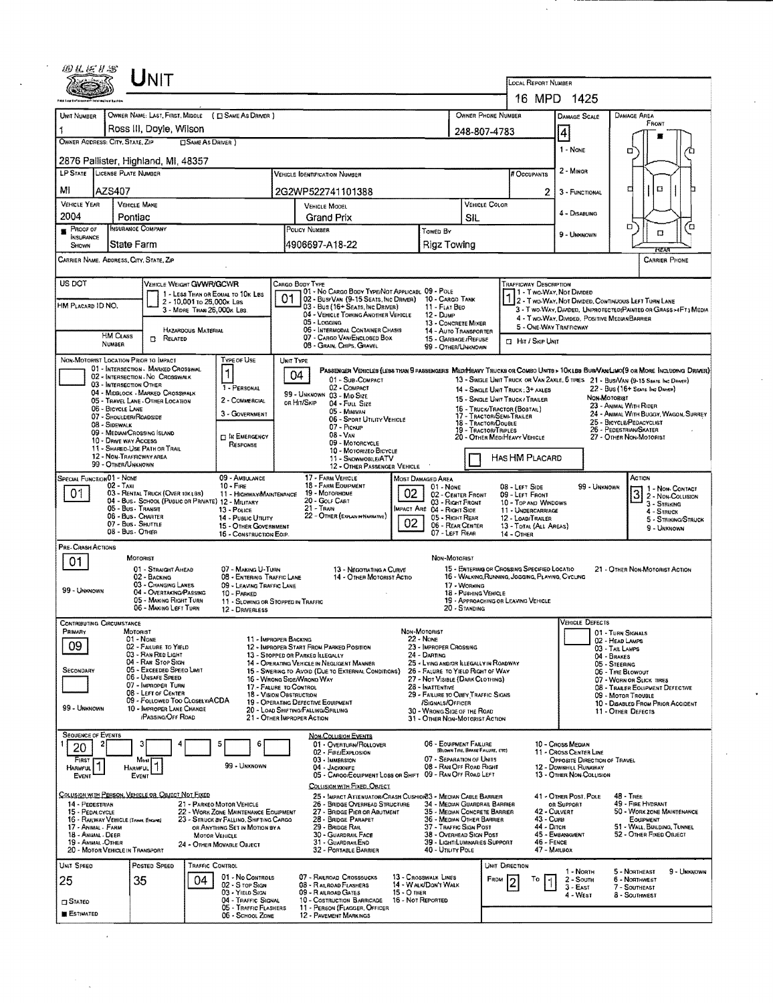| 的复数牙器                                                                                                                      |                                         | UNIT                                                                         |                              |                                                                                                                  |                                         |                                                                                                                                                 |                   |                                                                                             |                                      |                                                  |                                                                                                 |                                                                                   |              |                                                                                                                       |                     |
|----------------------------------------------------------------------------------------------------------------------------|-----------------------------------------|------------------------------------------------------------------------------|------------------------------|------------------------------------------------------------------------------------------------------------------|-----------------------------------------|-------------------------------------------------------------------------------------------------------------------------------------------------|-------------------|---------------------------------------------------------------------------------------------|--------------------------------------|--------------------------------------------------|-------------------------------------------------------------------------------------------------|-----------------------------------------------------------------------------------|--------------|-----------------------------------------------------------------------------------------------------------------------|---------------------|
|                                                                                                                            |                                         |                                                                              |                              |                                                                                                                  |                                         |                                                                                                                                                 |                   |                                                                                             |                                      |                                                  | LOCAL REPORT NUMBER                                                                             |                                                                                   |              |                                                                                                                       |                     |
| UNIT NUMBER                                                                                                                |                                         |                                                                              |                              |                                                                                                                  |                                         |                                                                                                                                                 |                   |                                                                                             |                                      |                                                  | 16 MPD 1425                                                                                     |                                                                                   |              |                                                                                                                       |                     |
| OWNER NAME: LAST, FIRST, MIDDLE ( E SAME AS DRIVER )<br>OWNER PHONE NUMBER<br>Ross III, Doyle, Wilson<br>1<br>248-807-4783 |                                         |                                                                              |                              |                                                                                                                  |                                         |                                                                                                                                                 |                   |                                                                                             |                                      | DAMAGE SCALE                                     |                                                                                                 | DAMAGE AREA<br>FRONT                                                              |              |                                                                                                                       |                     |
| OWNER ADDRESS: CITY, STATE, ZIP<br><b>CISAME AS DRIVER</b> )                                                               |                                         |                                                                              |                              |                                                                                                                  |                                         |                                                                                                                                                 |                   |                                                                                             |                                      | 4<br>1 - NONE                                    |                                                                                                 |                                                                                   |              |                                                                                                                       |                     |
| 2876 Pallister, Highland, MI, 48357                                                                                        |                                         |                                                                              |                              |                                                                                                                  |                                         |                                                                                                                                                 |                   |                                                                                             |                                      |                                                  |                                                                                                 | □                                                                                 |              |                                                                                                                       |                     |
| LP STATE LICENSE PLATE NUMBER                                                                                              |                                         |                                                                              |                              |                                                                                                                  |                                         | <b>VEHICLE IDENTIFICATION NUMBER</b>                                                                                                            |                   |                                                                                             |                                      |                                                  | # Occupants                                                                                     | 2 - MINOR                                                                         |              |                                                                                                                       |                     |
| MI                                                                                                                         | AZS407                                  |                                                                              |                              |                                                                                                                  |                                         | 2G2WP522741101388                                                                                                                               |                   |                                                                                             |                                      |                                                  | 2                                                                                               | 3 - FUNCTIONAL                                                                    |              | α<br>о                                                                                                                |                     |
| <b>VEHICLE YEAR</b><br>2004                                                                                                |                                         | <b>VEHICLE MAKE</b><br>Pontiac                                               |                              |                                                                                                                  |                                         | <b>VEHICLE MODEL</b>                                                                                                                            |                   |                                                                                             | <b>VEHICLE COLOR</b><br>SIL          |                                                  |                                                                                                 | 4 - DISABLING                                                                     |              |                                                                                                                       |                     |
| Proof of                                                                                                                   |                                         | <b>INSURANCE COMPANY</b>                                                     |                              |                                                                                                                  | Grand Prix<br>POLICY NUMBER<br>TOWED BY |                                                                                                                                                 |                   |                                                                                             |                                      |                                                  |                                                                                                 | 9 - UNKNOWN                                                                       |              | Ω<br>Ω                                                                                                                | Έ                   |
| <b>INSURANCE</b><br>SHOWN                                                                                                  |                                         | State Farm                                                                   |                              |                                                                                                                  |                                         | 4906697-A18-22                                                                                                                                  |                   | Rigz Towing                                                                                 |                                      |                                                  |                                                                                                 |                                                                                   |              | FEA                                                                                                                   |                     |
| CARRIER NAME, ADDRESS, CITY, STATE, ZIP                                                                                    |                                         |                                                                              |                              |                                                                                                                  |                                         |                                                                                                                                                 |                   |                                                                                             |                                      |                                                  |                                                                                                 |                                                                                   |              | <b>CARRIER PHONE</b>                                                                                                  |                     |
| US DOT                                                                                                                     |                                         | VEHICLE WEIGHT GWWR/GCWR                                                     |                              |                                                                                                                  |                                         | CARGO BODY TYPE                                                                                                                                 |                   |                                                                                             |                                      |                                                  | <b>TRAFFICWAY DESCRIPTION</b>                                                                   |                                                                                   |              |                                                                                                                       |                     |
| HM PLACARD ID NO.                                                                                                          |                                         |                                                                              | 2 - 10,001 to 26,000x Las    | 1 - LESS THAN OR EQUAL TO 10K LBS                                                                                | 01                                      | 01 - No CARGO BODY TYPE/NOT APPLICABL 09 - POLE<br>02 - Busi Van (9-15 Seats, Inc Driver)<br>03 - Bus (16+ Seats, Inc Driver)                   |                   | 10 - CARGO TANK<br>11 - FLAT BEO                                                            |                                      |                                                  | 11 - Two Way, Not Divided                                                                       |                                                                                   |              | 1 - Two-Way, Not Livideur<br>2 - Two-Way, Not Divided, Continuous Left Turn Lane                                      |                     |
|                                                                                                                            |                                         |                                                                              | 3 - MORE THAN 26,000K LBS.   |                                                                                                                  |                                         | 04 - VEHICLE TOWING ANOTHER VEHICLE<br>05 - Logging                                                                                             |                   | 12 - Dump<br>13 - CONCRETE MIXER                                                            |                                      |                                                  |                                                                                                 |                                                                                   |              | 3 - T WO-WAY, DIVIDED, UNPROTECTED PAINTED OR GRASS >4FT.) MEDIA<br>4 - Two-Way, DIVIDED, POSITIVE MEDIAN BARRIER     |                     |
|                                                                                                                            | <b>HM CLASS</b>                         | $\Box$ Related                                                               | <b>HAZARDOUS MATERIAL</b>    |                                                                                                                  |                                         | 06 - INTERMODAL CONTAINER CHASIS<br>07 - CARGO VAN/ENCLOSED BOX                                                                                 |                   | 14 - AUTO TRANSPORTER<br>15 - GARBAGE / REFUSE                                              |                                      |                                                  | <b>CI HIT / SKIP UNIT</b>                                                                       | 5 - ONE-WAY TRAFFICWAY                                                            |              |                                                                                                                       |                     |
|                                                                                                                            | NUMBER                                  |                                                                              |                              |                                                                                                                  |                                         | 08 - GRAIN, CHIPS, GRAVEL                                                                                                                       |                   | 99 - OTHER/UNKNOWN                                                                          |                                      |                                                  |                                                                                                 |                                                                                   |              |                                                                                                                       |                     |
|                                                                                                                            |                                         | NON-MOTORIST LOCATION PRIOR TO IMPACT<br>01 - INTERSECTION - MARKED CROSSWAL |                              | TYPE OF USE<br>1                                                                                                 |                                         | UNIT TYPE<br>PASSENGER VEHICLES (LESS THAN 9 PASSENGERS MEDIMEANY TRUCKS OR COMBO UNITE > 10XLES EUR VAN LIMO(9 OR MORE INCLUDING DRIVER)<br>04 |                   |                                                                                             |                                      |                                                  |                                                                                                 |                                                                                   |              |                                                                                                                       |                     |
|                                                                                                                            | 03 - INTERSECTION OTHER                 | 02 - INTERSECTION - NO CROSSWALK<br>04 - MIDBLOCK - MARKED CROSSWALK         |                              | 1 - PERSONAL                                                                                                     |                                         | 01 - Sub-COMPACT<br>02 - COMPACT                                                                                                                |                   |                                                                                             |                                      |                                                  | 14 - SINGLE UNIT TRUCK: 3+ AXLES                                                                |                                                                                   |              | 13 - SINGLE UNIT TRUCK OR VAN ZAXLE, 6 TIRES 21 - BUS/VAN (9-15 SEATS. INC DRIVER)<br>22 - Bus (16+ Seats Inc Driver) |                     |
|                                                                                                                            | 06 - BICYCLE LANE                       | 05 - TRAVEL LANE - OTHER LOCATION                                            |                              | 2 - COMMERCIAL                                                                                                   |                                         | 99 - UNKNOWN 03 - MID SIZE<br>or Hit/Skip<br>04 - FULL SIZE                                                                                     |                   |                                                                                             |                                      |                                                  | 15 - Single LINIT TRUCK / TRAILER<br>16 - TRUCK/TRACTOR (BOBTAIL)                               |                                                                                   | NON-MOTORIST | 23 - ANIMAL WITH RIDER                                                                                                |                     |
|                                                                                                                            | 07 - SHOULDER/ROADSIDE<br>08 - SIDEWALK |                                                                              |                              | 3 - GOVERNMENT                                                                                                   |                                         | 05 - MINIVAN<br>06 - Sport Utility Vehicle<br>07 - Pickup                                                                                       |                   |                                                                                             |                                      | 17 - TRACTOR/SEMI-TRAILER<br>18 - TRACTOR/DOUBLE |                                                                                                 | 24 - ANIMAL WITH BUGGY, WAGON, SURREY<br>25 - BICYCLE/PEDACYCLIST                 |              |                                                                                                                       |                     |
|                                                                                                                            | 10 - DRIVE WAY ACCESS                   | 09 - MEDIANICROSSING ISLAND                                                  |                              | <b>IT IN EMERGENCY</b><br>RESPONSE                                                                               |                                         | 08 - VAN<br>09 - MOTORCYCLE                                                                                                                     |                   |                                                                                             |                                      | <b>19 - TRACTOR/TRIPLES</b>                      | 20 - OTHER MED/HEAVY VEHICLE                                                                    |                                                                                   |              | 26 - PEDESTRIAN/SKATER<br>27 - OTHER NON-MOTORIST                                                                     |                     |
|                                                                                                                            |                                         | 11 - SHARED-USE PATH OR TRAIL<br>12 - NON-TRAFFICWAY AREA                    |                              |                                                                                                                  |                                         | 10 - MOTORIZEO BICYCLE<br>11 - SNOWMOBILE/ATV                                                                                                   |                   |                                                                                             |                                      |                                                  | HAS HM PLACARD                                                                                  |                                                                                   |              |                                                                                                                       |                     |
| <b>SPECIAL FUNCTION 01 - NONE</b>                                                                                          | 99 - OTHER/UNKNOWN                      |                                                                              |                              | 09 - AMBULANCE                                                                                                   |                                         | 12 - OTHER PASSENGER VEHICLE<br>17 - FARM VEHICLE                                                                                               |                   | MOST DAMAGED AREA                                                                           |                                      |                                                  |                                                                                                 |                                                                                   |              | ACTION                                                                                                                |                     |
| 01                                                                                                                         | 02 - Taxi                               | 03 - RENTAL TRUCK (QVER 10KLBS)                                              |                              | $10 -$ Fire<br>11 - HIGHWAY/MAINTENANCE                                                                          |                                         | 18 - FARM EQUIPMENT<br>19 - Мотовноме                                                                                                           | 02                | 01 - NONE<br>02 - CENTER FRONT                                                              |                                      |                                                  | 08 - LEFT SIDE<br>09 - LEFT FRONT                                                               |                                                                                   | 99 - Unknown | 3 2 - Non-Collision                                                                                                   | 1 1 - Non-Contact   |
|                                                                                                                            |                                         | 04 - BUS - SCHOOL (PUBLIC OR PRIVATE) 12 - MILITARY<br>05 - Bus - Transit    |                              | 13 - Pouce                                                                                                       |                                         | 20 - GOLF CART<br>21 - TRAIN                                                                                                                    |                   | 03 - RIGHT FRONT<br>MPACT ARE 04 - RIGHT SIDE                                               |                                      |                                                  | 10 - TOP AND WINDOWS<br>11 - UNDERCARRIAGE                                                      |                                                                                   |              | 3 - STRIKING<br>$4 -$ STRUCK                                                                                          |                     |
|                                                                                                                            | 08 - Bus - OTHER                        | 06 - Bus. Charter<br>07 - Bus - SHUTTLE                                      |                              | 14 - Pusuc Unury<br>15 - OTHER GOVERNMENT                                                                        |                                         | 22 - OTHER (EXPLAIN IN NARRATIVE)                                                                                                               | 02                | 05 - RIGHT REAR<br>06 - REAR CENTER                                                         |                                      |                                                  | 12 - LOAD/TRAILER<br>13 - TOTAL (ALL AREAS)                                                     |                                                                                   |              | 9 - UNKNOWN                                                                                                           | 5 - STRIKING/STRUCK |
| PRE- Crash Actions                                                                                                         |                                         |                                                                              |                              | 16 - CONSTRUCTION EOIP.                                                                                          |                                         |                                                                                                                                                 |                   | 07 - LEFT REAR                                                                              |                                      |                                                  | 14 - OTHER                                                                                      |                                                                                   |              |                                                                                                                       |                     |
| 01                                                                                                                         |                                         | MOTORIST                                                                     |                              |                                                                                                                  |                                         |                                                                                                                                                 |                   | NON-MOTORIST                                                                                |                                      |                                                  |                                                                                                 |                                                                                   |              |                                                                                                                       |                     |
|                                                                                                                            |                                         | 01 - STRAIGHT AHEAD<br>02 - Backing<br>03 - CHANGING LANES                   |                              | 07 - MAKING U-TURN<br>08 - ENTERING TRAFFIC LANE                                                                 |                                         | 13 - NEGOTIATING A CURVE<br>14 - OTHER MOTORIST ACTIO                                                                                           |                   |                                                                                             |                                      |                                                  | 15 - ENTERING OR CROSSING SPECIFIED LOCATIO<br>16 - WALKING, RUNNING, JOGGING, PLAYING, CYCLING |                                                                                   |              | 21 - OTHER NON-MOTORIST ACTION                                                                                        |                     |
| 99 - UNKNOWN                                                                                                               |                                         | 04 - OVERTAKING/PASSING<br>05 - MAKING RIGHT TURN                            |                              | 09 - LEAVING TRAFFIC LANE<br>10 - PARKED<br>11 - SLOWING OR STOPPED IN TRAFFIC                                   |                                         |                                                                                                                                                 |                   |                                                                                             | 17 - WORKING<br>18 - PUSHING VEHICLE |                                                  | 19 - APPROACHING OR LEAVING VEHICLE                                                             |                                                                                   |              |                                                                                                                       |                     |
|                                                                                                                            |                                         | 06 - MAKING LEFT TURN                                                        |                              | 12 - DRNERLESS                                                                                                   |                                         |                                                                                                                                                 |                   |                                                                                             | 20 - STANDING                        |                                                  |                                                                                                 |                                                                                   |              |                                                                                                                       |                     |
| CONTRIBUTING CIRCUMSTANCE<br>PRIMARY                                                                                       |                                         | <b>MOTORIST</b>                                                              |                              |                                                                                                                  |                                         |                                                                                                                                                 |                   | Non-Motorist                                                                                |                                      |                                                  |                                                                                                 | <b>VEHICLE DEFECTS</b>                                                            |              | 01 - Turn Signals                                                                                                     |                     |
| 09                                                                                                                         |                                         | 01 - NONE<br>02 - FAILURE TO YIELD                                           |                              | 11 - IMPROPER BACKING                                                                                            |                                         | 12 - IMPROPER START FROM PARKED POSITION                                                                                                        |                   | 22 - NONE<br>23 - IMPROPER CROSSING                                                         |                                      |                                                  |                                                                                                 |                                                                                   |              | 02 - HEAD LAMPS<br>03 - TAIL LAMPS                                                                                    |                     |
| SECONDARY                                                                                                                  |                                         | 03 - RAN RED LIGHT<br>04 - RAN STOP SIGN<br>05 - Exceeped Speed Limit        |                              |                                                                                                                  |                                         | 13 - STOPPED OR PARKED ILLEGALLY<br>14 - OPERATING VEHICLE IN NEGLIGENT MANNER<br>15 - Swering to Avoid (Due to External Conditions)            |                   | 24 - DARTING<br>25 - LYING AND/OR ILLEGALLY IN ROADWAY<br>26 - FALURE TO YIELD RIGHT OF WAY |                                      |                                                  |                                                                                                 |                                                                                   | 04 - BRAKES  | 05 - STEERING                                                                                                         |                     |
|                                                                                                                            |                                         | 06 - Unsafe Speed<br>07 - IMPROPER TURN                                      |                              | 17 - FALURE TO CONTROL                                                                                           |                                         | 16 - Wrong Side/Wrong Way                                                                                                                       |                   | 27 - Not Visible (DARK CLOTHING)<br>28 - INATTENTIVE                                        |                                      |                                                  |                                                                                                 |                                                                                   |              | 06 - TIRE BLOWOUT<br>07 - WORN OR SLICK TIRES<br>08 - TRALER EQUIPMENT DEFECTIVE                                      |                     |
|                                                                                                                            |                                         | 08 - LEFT OF CENTER<br>09 - FOLLOWED TOO CLOSELY/ACDA                        |                              |                                                                                                                  |                                         | 18 - VISION OBSTRUCTION<br>19 - OPERATING DEFECTIVE EQUIPMENT                                                                                   |                   | 29 - FAILURE TO OBEY TRAFFIC SIGNS<br>/SIGNALS/OFFICER                                      |                                      |                                                  |                                                                                                 |                                                                                   |              | 09 - MOTOR TROUBLE<br>10 - DISABLED FROM PRIOR ACCIDENT                                                               |                     |
| 99 - UNKNOWN                                                                                                               |                                         | 10 - IMPROPER LANE CHANGE<br><b>/PASSING/OFF ROAD</b>                        |                              |                                                                                                                  |                                         | 20 - LOAD SHIFTING/FALLING/SPILLING<br>21 - OTHER IMPROPER ACTION                                                                               |                   | 30 - WRONG SIDE OF THE ROAD<br>31 - OTHER NON-MOTORIST ACTION                               |                                      |                                                  |                                                                                                 |                                                                                   |              | 11 - OTHER DEFECTS                                                                                                    |                     |
| <b>SEQUENCE OF EVENTS</b>                                                                                                  |                                         |                                                                              |                              |                                                                                                                  |                                         | <b>NON-COLLISION EVENTS</b>                                                                                                                     |                   |                                                                                             |                                      |                                                  |                                                                                                 |                                                                                   |              |                                                                                                                       |                     |
| 20                                                                                                                         |                                         |                                                                              |                              | 6                                                                                                                |                                         | 01 - OVERTURN/ROLLOVER<br>02 - FIRE EXPLOSION                                                                                                   |                   | 06 - EQUIPMENT FAILURE<br>07 - SEPARATION OF UNITS                                          | (BLOWN TIRE, BRAKE FALURE, ETC)      |                                                  |                                                                                                 | 10 - Cross Median<br>11 - Cross Center Line                                       |              |                                                                                                                       |                     |
| FIRST<br>1<br><b>HARMFUL</b><br>EVENT                                                                                      |                                         | Most<br><b>HARMFUL</b><br>EVENT                                              |                              | 99 - UNKNOWN                                                                                                     |                                         | 03 - IMMERSION<br>04 - JACKKNIFE<br>05 - CAROO/EOUIPMENT LOSS OR SHIFT 09 - RAN OFF ROAD LEFT                                                   |                   | 08 - RAN OFF ROAD RIGHT                                                                     |                                      |                                                  |                                                                                                 | OPPOSITE DIRECTION OF TRAVEL<br>12 - DOWNHILL RUNAWAY<br>13 - OTHER NON-COLLISION |              |                                                                                                                       |                     |
|                                                                                                                            |                                         |                                                                              |                              |                                                                                                                  |                                         | COLLISION WITH FIXED, OBJECT                                                                                                                    |                   |                                                                                             |                                      |                                                  |                                                                                                 |                                                                                   |              |                                                                                                                       |                     |
| 14 - PEDESTRIAN                                                                                                            |                                         | COLUSION WITH PERSON, VEHICLE OR OBJECT NOT FIXED                            |                              | 21 - PARKEO MOTOR VEHICLE                                                                                        |                                         | 25 - IMPACT ATTENUATOR/CRASH CUSHION33 - MEDIAN CABLE BARRIER<br>26 - BRIDGE OVERHEAD STRUCTURE                                                 |                   | 34 - Median Guardrail Barrier                                                               |                                      |                                                  |                                                                                                 | 41 - OTHER POST, POLE<br>OR SUPPORT                                               |              | 48 - TREE<br>49 - FIRE HYDRANT                                                                                        |                     |
| 15 - PEDALCYCLE<br>16 - RAILWAY VEHICLE (TRAIN, ENGINE)<br>17 - ANIMAL - FARM                                              |                                         |                                                                              |                              | 22 - WORK ZONE MAINTENANCE EQUIPMENT<br>23 - STRUCK BY FALLING, SHIFTING CARGO<br>OR ANYTHING SET IN MOTION BY A |                                         | 27 - BRIDGE PIER OR ABUTMENT<br>28 - BRIDGE PARAPET<br>29 - BRIDGE RAIL                                                                         |                   | 35 - MEDIAN CONCRETE BARRIER<br>36 - MEDIAN OTHER BARRIER<br>37 - TRAFFIC SIGN POST         |                                      |                                                  | 42 - CULVERT<br>43 - CURB<br>44 - Олсн                                                          |                                                                                   |              | 50 - WORK ZONE MAINTENANCE<br>EQUIPMENT<br>51 - WALL, BUILDING, TUNNEL                                                |                     |
| 18 - ANUMAL - DEER<br>19 - ANIMAL-OTHER                                                                                    |                                         |                                                                              | MOTOR VEHICLE                | 24 - OTHER MOVABLE OBJECT                                                                                        |                                         | 30 - GUARDRAIL FACE<br>31 - GUARDRAILEND                                                                                                        |                   | 38 - Overhead Sign Post<br>39 - LIGHT/LUMINARIES SUPPORT                                    |                                      |                                                  | 46 - FENCE                                                                                      | 45 - EMBANKMENT                                                                   |              | 52 - OTHER FIXED OBJECT                                                                                               |                     |
| 20 - MOTOR VEHICLE IN TRANSPORT                                                                                            |                                         |                                                                              |                              |                                                                                                                  |                                         | 32 - PORTABLE BARRIER                                                                                                                           |                   | 40 - UTILITY POLE                                                                           |                                      |                                                  | 47 - MAILBOX                                                                                    |                                                                                   |              |                                                                                                                       |                     |
| UNIT SPEED                                                                                                                 |                                         | Posted Speed<br>35                                                           | <b>TRAFFIC CONTROL</b><br>04 | 01 - No CONTROLS                                                                                                 |                                         | 07 - RAILROAD CROSSSUCKS                                                                                                                        |                   | 13 - Crosswalk Lines                                                                        |                                      | UNIT DIRECTION<br>FROM                           | То                                                                                              | 1 - North<br>2 - South                                                            |              | 5 - NORTHEAST<br>6 - NORTHWEST                                                                                        | 9 - Unknown         |
| 25                                                                                                                         |                                         |                                                                              |                              | 02 - S TOP SIGN<br>03 - YIELD SIGN                                                                               |                                         | 08 - RAILROAD FLASHERS<br>09 - R ailroad Gates                                                                                                  | 15 - O THER       | 14 - WALK/DON'T WALK                                                                        |                                      |                                                  |                                                                                                 | $3 - East$<br>4 - WEST                                                            |              | 7 - SOUTHEAST<br>8 - Southwest                                                                                        |                     |
| $\square$ Stateo<br><b>ESTIMATED</b>                                                                                       |                                         |                                                                              |                              | 04 - TRAFFIC SIGNAL<br>05 - TRAFFIC FLASHERS<br>06 - SCHOOL ZONE                                                 |                                         | 10 - COSTRUCTION BARRICADE<br>11 - PERSON (FLAGGER, OFFICER<br>12 - PAVEMENT MARKINGS                                                           | 16 - Not Reported |                                                                                             |                                      |                                                  |                                                                                                 |                                                                                   |              |                                                                                                                       |                     |
|                                                                                                                            |                                         |                                                                              |                              |                                                                                                                  |                                         |                                                                                                                                                 |                   |                                                                                             |                                      |                                                  |                                                                                                 |                                                                                   |              |                                                                                                                       |                     |

 $\hat{\mathcal{A}}$ 

 $\sim$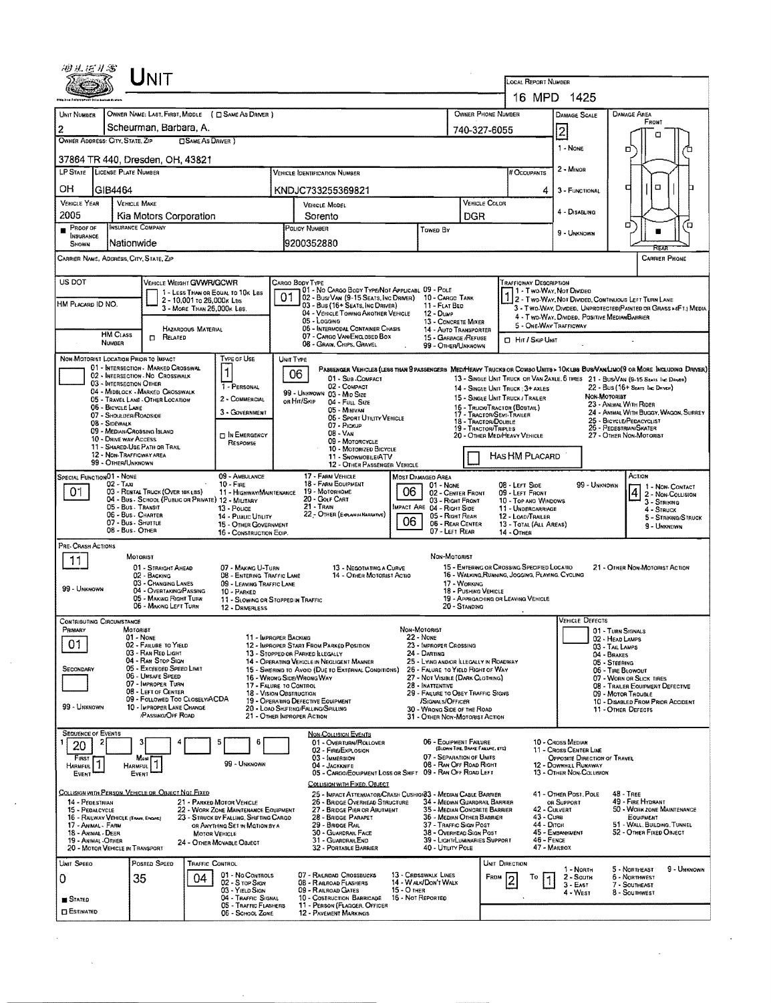|                                                                                           | UNIT                                                                       |                                                                                 |                                                                                                                         |                                                                                                                             |                                         |                                                                             |                                                                                          |                                                                                  |                                                                                                                                                                         |                                                                                  |                                                         |                                                        |  |
|-------------------------------------------------------------------------------------------|----------------------------------------------------------------------------|---------------------------------------------------------------------------------|-------------------------------------------------------------------------------------------------------------------------|-----------------------------------------------------------------------------------------------------------------------------|-----------------------------------------|-----------------------------------------------------------------------------|------------------------------------------------------------------------------------------|----------------------------------------------------------------------------------|-------------------------------------------------------------------------------------------------------------------------------------------------------------------------|----------------------------------------------------------------------------------|---------------------------------------------------------|--------------------------------------------------------|--|
|                                                                                           |                                                                            |                                                                                 |                                                                                                                         |                                                                                                                             |                                         |                                                                             |                                                                                          |                                                                                  | LOCAL REPORT NUMBER                                                                                                                                                     | 16 MPD 1425                                                                      |                                                         |                                                        |  |
| OWNER PHONE NUMBER<br>UNIT NUMBER<br>OWNER NAME: LAST, FIRST, MIDDLE ( C SAME AS DRIVER ) |                                                                            |                                                                                 |                                                                                                                         |                                                                                                                             |                                         |                                                                             |                                                                                          |                                                                                  |                                                                                                                                                                         |                                                                                  | <b>DAMAGE AREA</b>                                      |                                                        |  |
| Scheurman, Barbara, A.<br>2<br>740-327-6055                                               |                                                                            |                                                                                 |                                                                                                                         |                                                                                                                             |                                         |                                                                             |                                                                                          |                                                                                  |                                                                                                                                                                         | DAMAGE SCALE                                                                     |                                                         | Front                                                  |  |
| OWNER ADDRESS: CITY, STATE, ZIP<br><b>SAME AS DRIVER</b> )                                |                                                                            |                                                                                 |                                                                                                                         |                                                                                                                             |                                         |                                                                             |                                                                                          |                                                                                  |                                                                                                                                                                         | $\overline{2}$<br>1 - None                                                       |                                                         | о                                                      |  |
| 37864 TR 440, Dresden, OH, 43821                                                          |                                                                            |                                                                                 |                                                                                                                         |                                                                                                                             |                                         |                                                                             |                                                                                          |                                                                                  |                                                                                                                                                                         |                                                                                  | □                                                       |                                                        |  |
| LP STATE LICENSE PLATE NUMBER                                                             |                                                                            |                                                                                 |                                                                                                                         | <b>VEHICLE IDENTIFICATION NUMBER</b>                                                                                        |                                         |                                                                             |                                                                                          |                                                                                  | # Occupants                                                                                                                                                             | 2 - MINOR                                                                        |                                                         |                                                        |  |
| OH<br>GIB4464                                                                             |                                                                            |                                                                                 |                                                                                                                         | KNDJC733255369821                                                                                                           |                                         |                                                                             |                                                                                          |                                                                                  | 4                                                                                                                                                                       | 3 - FUNCTIONAL                                                                   | ₫                                                       | o                                                      |  |
| <b>VEHICLE YEAR</b><br>2005                                                               | <b>VEHICLE MAKE</b>                                                        |                                                                                 |                                                                                                                         | VEHICLE MODEL                                                                                                               |                                         |                                                                             | VEHICLE COLOR                                                                            |                                                                                  |                                                                                                                                                                         | 4 - DISABLING                                                                    |                                                         |                                                        |  |
| Proor of                                                                                  | Kia Motors Corporation<br>INSURANCE COMPANY                                |                                                                                 |                                                                                                                         | Sorento<br>POLICY NUMBER<br>Towed By                                                                                        |                                         |                                                                             | DGR                                                                                      |                                                                                  |                                                                                                                                                                         |                                                                                  | ۵                                                       | ้ต                                                     |  |
| <b>INSURANCE</b><br>SHOWN                                                                 | Nationwide                                                                 |                                                                                 |                                                                                                                         | 9200352880                                                                                                                  |                                         |                                                                             |                                                                                          | 9 - UNKNOWN                                                                      |                                                                                                                                                                         |                                                                                  |                                                         |                                                        |  |
| CARRIER NAME, ADDRESS, CITY, STATE, ZIP                                                   |                                                                            |                                                                                 |                                                                                                                         |                                                                                                                             |                                         |                                                                             |                                                                                          |                                                                                  |                                                                                                                                                                         |                                                                                  |                                                         | <b>CARRIER PHONE</b>                                   |  |
| US DOT                                                                                    | VEHICLE WEIGHT GVWR/GCWR                                                   |                                                                                 | CARGO BODY TYPE                                                                                                         |                                                                                                                             |                                         |                                                                             |                                                                                          |                                                                                  | <b>TRAFFICWAY DESCRIPTION</b>                                                                                                                                           |                                                                                  |                                                         |                                                        |  |
| HM PLACARD ID NO.                                                                         |                                                                            | 1 - LESS THAN OR EQUAL TO 10K LBS<br>2 - 10,001 to 26,000x Lss                  | 01                                                                                                                      | 01 - No CARGO BODY TYPE/NOT APPLICABL 09 - POLE<br>02 - Busi Van (9-15 Seats, Inc Driver)                                   |                                         | 10 - CARGO TANK                                                             |                                                                                          |                                                                                  |                                                                                                                                                                         | 1 - Two Way, Not Divideo                                                         |                                                         |                                                        |  |
|                                                                                           |                                                                            | 3 - MORE THAN 26,000K LBS.                                                      |                                                                                                                         | 03 - Bus (16+ Seats, Inc Driver)<br>04 - VEHICLE TOWING ANOTHER VEHICLE<br>05 - Locaina                                     |                                         | 11 - FLAT BED<br>12 - Duwp<br><b>13 - CONCRETE MIXER</b>                    |                                                                                          |                                                                                  | 1 - I WO-WAY, INCLUSION CONTINUOUS LEFT TURN LANE<br>3 - T WO-WAY, DIVIDED. UNPROTECTED (PAINTED OR GRASS >4FT.) MEDIA<br>4 - Two-Way, Divideo, Positive Median Barrier |                                                                                  |                                                         |                                                        |  |
| <b>HM CLASS</b>                                                                           | <b>D</b> RELATED                                                           | HAZARDOUS MATERIAL                                                              |                                                                                                                         | 06 - INTERMODAL CONTAINER CHASIS<br>07 - CARGO VAN ENCLOSED BOX                                                             |                                         | 14 - AUTO TRANSPORTER<br>15 - GARBAGE /REFUSE                               |                                                                                          |                                                                                  |                                                                                                                                                                         | 5 - ONE-WAY TRAFFICWAY                                                           |                                                         |                                                        |  |
| <b>NUMBER</b>                                                                             |                                                                            |                                                                                 |                                                                                                                         | 08 - GRAIN, CHIPS, GRAVEL                                                                                                   |                                         | 99 - OTHER/UNKNOWN                                                          |                                                                                          |                                                                                  | <b>CI HIT / SKIP UNIT</b>                                                                                                                                               |                                                                                  |                                                         |                                                        |  |
| NON-MOTORIST LOCATION PRIOR TO IMPACT                                                     | 01 - INTERSECTION - MARKED CROSSWAL                                        | Type of Use<br>1                                                                | UNIT TYPE                                                                                                               | PABSEHGER VEHICLES (LESS THAN PPASSEHGERS MED/HEAVY TRUCKS OR COMBO UNITS > 10KLBS BUS/VAN/LIMO(9 OR MORE INCLUDING DRIVER) |                                         |                                                                             |                                                                                          |                                                                                  |                                                                                                                                                                         |                                                                                  |                                                         |                                                        |  |
| 03 - INTERSECTION OTHER                                                                   | 02 - INTERSECTION - NO CROSSWALK                                           | 1 - PERSONAL                                                                    | 06                                                                                                                      | 01 - Sub-Compact<br>02 - COMPACT                                                                                            |                                         |                                                                             |                                                                                          | 14 - SINGLE UNIT TRUCK: 3+ AXLES                                                 |                                                                                                                                                                         | 13 - SINGLE UNIT TRUCK OR VAN 2AXLE, 6 TRES 21 - BUS/VAN (9-15 SEATS INC DRIVER) |                                                         |                                                        |  |
|                                                                                           | 04 - MIDBLOCK - MARKED CROSSWALK<br>05 - TRAVEL LANE - OTHER LOCATION      | 2 - COMMERCIAL                                                                  | or Hit/Skip                                                                                                             | 99 - UNKNOWN 03 - MID SIZE<br>04 - Futt. Size                                                                               |                                         |                                                                             |                                                                                          | 15 - SINGLE UNIT TRUCK / TRAILER                                                 |                                                                                                                                                                         | 22 - Bus (16+ Sears Inc Denee)<br>NON-MOTORIST<br>23 - ANIMAL WITH RIDER         |                                                         |                                                        |  |
| 06 - BICYCLE LANE<br>07 - SHOULDER/ROADSIDE                                               |                                                                            | 3 - GOVERNMENT                                                                  |                                                                                                                         | 05 - MINIVAN<br>06 - Sport Utility Vehicle                                                                                  |                                         |                                                                             |                                                                                          | 15 - TRUCK/TRACTOR (BOBTAIL)<br>17 - TRACTOR/SEMI-TRAILER<br>18 - TRACTOR/DOUBLE |                                                                                                                                                                         |                                                                                  | 25 - BICYCLE/PEDACYCLIST                                | 24 - ANIMAL WITH BUGGY, WAGON, SURREY                  |  |
| 08 - Sidewalk                                                                             | 09 - MEDIAN/CROSSING ISLAND                                                | $\Box$ In Emergency                                                             |                                                                                                                         | 07 - Pickup<br>08 - VAN                                                                                                     |                                         |                                                                             |                                                                                          | 19 - TRACTOR/TRIPLES                                                             | 26 - PEDESTRIAN/SKATER<br>20 - OTHER MEDIHEAVY VEHICLE<br>27 - OTHER NON-MOTORIST                                                                                       |                                                                                  |                                                         |                                                        |  |
| <b>10 - DRIVE WAY ACCESS</b>                                                              | 11 - SHARED-USE PATH OR TRAIL                                              | RESPONSE                                                                        |                                                                                                                         | 09 - MOTORCYCLE<br>10 - MOTORIZED BICYCLE                                                                                   |                                         |                                                                             |                                                                                          |                                                                                  |                                                                                                                                                                         |                                                                                  |                                                         |                                                        |  |
| 99 - OTHER/UNKNOWN                                                                        | 12 - NON-TRAFFICWAY AREA                                                   |                                                                                 |                                                                                                                         | 11 - SNOWMOBILE/ATV<br>12 - OTHER PASSENGER VEHICLE                                                                         |                                         |                                                                             |                                                                                          | HAS HM PLACARD                                                                   |                                                                                                                                                                         |                                                                                  |                                                         |                                                        |  |
| SPECIAL FUNCTION 01 - NONE<br>$02 - TAXI$                                                 |                                                                            | 09 - AMBULANCE<br>$10 -$ Fine                                                   |                                                                                                                         | 17 - FARM VEHICLE<br>18 - FARM EQUIPMENT                                                                                    |                                         | MOST DAMAGED AREA<br>01 - NONE                                              |                                                                                          | 08 - LEFT SIDE                                                                   |                                                                                                                                                                         | 99 - Unknown                                                                     | Астюн                                                   | 1 Non-Contact                                          |  |
| 01                                                                                        | 03 - RENTAL TRUCK (OVER 10K LBS)                                           | 11 - HIGHWAY/MAINTENANCE<br>04 - Bus - School (Public or Private) 12 - Milltary |                                                                                                                         | 19 - Мотопноме<br>20 - Golf Cart                                                                                            | 06                                      | 02 - CENTER FRONT<br>03 - RIGHT FRONT                                       |                                                                                          | 09 - LEFT FRONT                                                                  | 10 - TOP AND WINDOWS                                                                                                                                                    |                                                                                  |                                                         | 2 - Non-Collision<br>3 - STRIKING                      |  |
|                                                                                           | 05 - Bus - Transit<br>06 - Bus - Charter                                   | 13 - Pouce<br>14 - PUBLIC UTILITY                                               |                                                                                                                         | 21 - TRAIN<br>22 - OTHER (EXPLANIN NARRATIVE)                                                                               | 06                                      | IMPACT ARE 04 - RIGHT SIDE                                                  | 11 - UNDERCARRIAGE<br>05 - RIGHT REAR<br>12 - LOAD/TRAILER                               |                                                                                  |                                                                                                                                                                         |                                                                                  |                                                         | 4 - Struck<br>5 - STRIKING/STRUCK                      |  |
|                                                                                           | 07 - Bus - SHUTTLE<br>08 - Bus - Other                                     | 15 - OTHER GOVERNMENT<br>16 - CONSTRUCTION EOIP.                                |                                                                                                                         | 06 - REAR CENTER<br>07 - LEFT REAR                                                                                          |                                         |                                                                             |                                                                                          | 14 - Отнев                                                                       | 13 - TOTAL (ALL AREAS)                                                                                                                                                  |                                                                                  |                                                         | 9 - UNKNOWN                                            |  |
| PRE-CRASH ACTIONS                                                                         |                                                                            |                                                                                 |                                                                                                                         |                                                                                                                             |                                         | NON-MOTORIST                                                                |                                                                                          |                                                                                  |                                                                                                                                                                         |                                                                                  |                                                         |                                                        |  |
| 11                                                                                        | <b>MOTORIST</b><br>01 - STRAIGHT AHEAD                                     | 07 - MAKING U-TURN                                                              |                                                                                                                         | 13 - NEGOTIATING A CURVE                                                                                                    |                                         |                                                                             |                                                                                          | 15 - ENTERING OR CROSSING SPECIFIED LOCATIO                                      |                                                                                                                                                                         |                                                                                  |                                                         | 21 - OTHER NON-MOTORIST ACTION                         |  |
| 99 - UNKNOWN                                                                              | 02 - BACKING<br>03 - Changing LANES                                        | 08 - Entering Traffic Lane<br>09 - LEAVING TRAFFIC LANE                         | 14 - OTHER MOTORIST ACTIO                                                                                               |                                                                                                                             |                                         |                                                                             | 16 - WALKING, RUMNING, JOGGING, PLAYING, CYCLING<br>17 - WORKING<br>18 - Pushing Vehicle |                                                                                  |                                                                                                                                                                         |                                                                                  |                                                         |                                                        |  |
|                                                                                           | 04 - OVERTAKING/PASSING<br>05 - MAKING RIGHT TURN<br>06 - MAKING LEFT TURN | 10 - PARKED<br>11 - SLOWING OR STOPPED IN TRAFFIC<br>12 - DRIVERLESS            |                                                                                                                         |                                                                                                                             |                                         |                                                                             | 20 - STANDING                                                                            | 19 - APPROACHING OR LEAVING VEHICLE                                              |                                                                                                                                                                         |                                                                                  |                                                         |                                                        |  |
| <b>CONTRIBUTING CIRCUMSTANCE</b>                                                          |                                                                            |                                                                                 |                                                                                                                         |                                                                                                                             |                                         |                                                                             |                                                                                          |                                                                                  |                                                                                                                                                                         | <b>VEHICLE DEFECTS</b>                                                           |                                                         |                                                        |  |
| "RIMARY                                                                                   | MOTORIST<br>01 - NONE                                                      |                                                                                 | 11 - IMPROPER BACKING                                                                                                   |                                                                                                                             | NON-MOTORIST<br>22 - NONE               |                                                                             |                                                                                          |                                                                                  |                                                                                                                                                                         |                                                                                  | 01 - Turn Signals<br>02 - HEAD LAMPS                    |                                                        |  |
| 01                                                                                        | 02 - FAILURE TO YIELD<br>03 - RAN RED LIGHT                                |                                                                                 |                                                                                                                         | 12 - IMPROPER START FROM PARKED POSITION<br>13 - STOPPED OR PARKED ILLEGALLY                                                |                                         | 23 - IMPROPER CROSSING<br>24 - DARTING                                      |                                                                                          |                                                                                  |                                                                                                                                                                         |                                                                                  | 03 - TAIL LAMPS<br>04 - BRAKES                          |                                                        |  |
| SECONDARY                                                                                 | 04 - RAN STOP SIGN<br>05 - Exceeded Speed Limit                            |                                                                                 |                                                                                                                         | 14 - OPERATING VEHICLE IN NEGLIGENT MANNER<br>15 - Swering to Avoid (Due to External Conditions)                            |                                         | 25 - LYING ANDIOR ILLEGALLY IN ROADWAY<br>26 - FALURE TO YIELD RIGHT OF WAY |                                                                                          |                                                                                  |                                                                                                                                                                         |                                                                                  | 05 - Steering<br>06 - TIRE BLOWOUT                      |                                                        |  |
|                                                                                           | 06 - UNSAFE SPEED<br>07 - IMPROPER TURN                                    |                                                                                 | 16 - WRONG SIDE/WRONG WAY<br>17 - FALURE TO CONTROL                                                                     |                                                                                                                             |                                         | 27 - Not Visible (DARK CLOTHING)<br>28 - INATTENTIVE                        |                                                                                          |                                                                                  |                                                                                                                                                                         |                                                                                  | 07 - WORN OR SLICK TIRES                                | 08 - TRAILER EQUIPMENT DEFECTIVE                       |  |
|                                                                                           | 08 - LEFT OF CENTER<br>09 - FOLLOWED TOO CLOSELY/ACDA                      |                                                                                 | 29 - FAILURE TO OBEY TRAFFIC SIGNS<br>18 - VISION OBSTRUCTION<br>19 - OPERATING DEFECTIVE EQUIPMENT<br>/SIGNALS/OFFICER |                                                                                                                             |                                         |                                                                             |                                                                                          |                                                                                  |                                                                                                                                                                         |                                                                                  | 09 - MOTOR TROUBLE<br>10 - DISABLED FROM PRIOR ACCIDENT |                                                        |  |
| 99 - UNKNOWN                                                                              | 10 - IMPROPER LANE CHANGE<br><b>/PASSING/OFF ROAD</b>                      |                                                                                 | 21 - Отнев Імряорев Астюм                                                                                               | 20 - LOAD SHIFTING/FALLING/SPILLING                                                                                         |                                         | 30 - WRONG SIDE OF THE ROAD<br>31 - OTHER NON-MOTORIST ACTION               |                                                                                          |                                                                                  |                                                                                                                                                                         |                                                                                  | 11 - OTHER DEFECTS                                      |                                                        |  |
| <b>SEQUENCE OF EVENTS</b>                                                                 |                                                                            |                                                                                 |                                                                                                                         | <b>NON-COLLISION EVENTS</b>                                                                                                 |                                         |                                                                             |                                                                                          |                                                                                  |                                                                                                                                                                         |                                                                                  |                                                         |                                                        |  |
| 20                                                                                        |                                                                            | 6                                                                               |                                                                                                                         | 01 - Overturn/Rollover<br>02 - FIRE/EXPLOSION                                                                               |                                         | 06 - EQUIPMENT FAILURE<br>07 - SEPARATION OF UNITS                          | (BLOWN TIRE, BRANE FAILURE, ETC)                                                         |                                                                                  |                                                                                                                                                                         | 10 - Cross Median<br>11 - Cross CENTER LINE                                      |                                                         |                                                        |  |
| FIRST<br>1<br>Harmful.                                                                    | Most<br>HARMFUL <sup>1</sup>                                               | 99 - UNKNOWN                                                                    |                                                                                                                         | 03 - IMMERSION<br>04 - JACKKNIFE<br>05 - CARGO/EQUIPMENT LOSS OR SHIFT 09 - RAN OFF ROAD LEFT                               |                                         | 08 - RAN OFF ROAD RIGHT                                                     |                                                                                          |                                                                                  |                                                                                                                                                                         | OPPOSITE DIRECTION OF TRAVEL<br>12 - DOWNHEL RUMAWAY<br>13 - OTHER NON-COLLISION |                                                         |                                                        |  |
| EVENT                                                                                     | EVENT                                                                      |                                                                                 |                                                                                                                         | COLLISION WITH FIXED, OBJECT                                                                                                |                                         |                                                                             |                                                                                          |                                                                                  |                                                                                                                                                                         |                                                                                  |                                                         |                                                        |  |
| COLLISION WITH PERSON, VEHICLE OR OBJECT NOT FIXED<br>14 - PEDESTRIAN                     |                                                                            | 21 - PARKED MOTOR VEHICLE                                                       |                                                                                                                         | 25 - IMPACT ATTENUATOR/CRASH CUSHION33 - MEDIAN CABLE BARRIER<br>26 - BRIDGE OVERHEAD STRUCTURE                             |                                         | 34 - MEDIAN GUARDRAIL BARRIER                                               |                                                                                          |                                                                                  |                                                                                                                                                                         | 41 - OTHER POST, POLE<br>OR SUPPORT                                              | $48 - \text{Tree}$<br>49 - Fire Hydrant                 |                                                        |  |
| 15 - PEDALCYCLE<br>16 - RALWAY VEHICLE (TRAIN, ENGINE)                                    |                                                                            | 22 - WORK ZONE MAINTENANCE EQUIPMENT<br>23 - STRUCK BY FALLING, SHIFTING CARGO  |                                                                                                                         | 27 - BRIDGE PIER OR ABUTMENT<br>28 - BRIDGE PARAPET                                                                         |                                         | 35 - MEDIAN CONCRETE BARRIER                                                |                                                                                          |                                                                                  | 42 - CULVERT<br>43 - Cuna                                                                                                                                               |                                                                                  | EQUIPMENT                                               | 50 - WORK ZONE MAINTENANCE                             |  |
| 17 - ANIMAL - FARM<br>18 - ANIMAL - DEER                                                  |                                                                            | or Anything Set in Mation by a<br>MOTOR VEHICLE                                 |                                                                                                                         | 29 - BRIDGE RAIL<br>30 - GUARDRAIL FACE                                                                                     |                                         |                                                                             | 36 - MEDIAN OTHER BARRIER<br>37 - TRAFFIC SIGN POST<br>38 - OVERHEAD SIGN POST           |                                                                                  |                                                                                                                                                                         | 44 - Ditch<br>45 - EMBANKMENT                                                    |                                                         | 51 - WALL, BUILDING, TUNNEL<br>52 - OTHER FIXED OBJECT |  |
| 19 - ANIMAL -OTHER<br>20 - MOTOR VEHICLE IN TRANSPORT                                     |                                                                            | 24 - OTHER MOVABLE OBJECT                                                       |                                                                                                                         | 31 - GUARDRAILEND<br>32 - PORTABLE BARRIER                                                                                  |                                         | 39 - LIGHT/LUMINARIES SUPPORT<br>40 - UTILITY POLE                          |                                                                                          |                                                                                  | 46 - FENCE<br>47 - MAILBOX                                                                                                                                              |                                                                                  |                                                         |                                                        |  |
| UNIT SPEED                                                                                | POSTED SPEED                                                               | <b>TRAFFIC CONTROL</b>                                                          |                                                                                                                         |                                                                                                                             |                                         |                                                                             |                                                                                          | Unit Direction                                                                   |                                                                                                                                                                         | 1 - North                                                                        | 5 - NORTHEAST                                           | 9 - UNKNOWN                                            |  |
| 0                                                                                         | 35                                                                         | 01 - No CONTROLS<br>04<br>02 - S TOP SIGN                                       |                                                                                                                         | 07 - RAILRDAD CROSSBUCKS<br>08 - RAILROAD FLASHERS                                                                          |                                         | 13 - CROSSWALK LINES<br>14 - W ALK/DON'T WALK                               |                                                                                          | FROM                                                                             | To                                                                                                                                                                      | 2 - South<br>$3 - E$ AST                                                         | 6 - NORTHWEST<br>7 - SOUTHEAST                          |                                                        |  |
| <b>STATED</b>                                                                             |                                                                            | 03 - YIELD SIGN<br>04 - TRAFFIC SIGNAL<br>05 - TRAFFIC FLASHERS                 |                                                                                                                         | 09 - RAILROAD GATES<br>10 - COSTRUCTION BARRICADE<br>11 - PERSON (FLAGGER, OFFICER                                          | <b>15 - O THER</b><br>16 - Not Reported |                                                                             |                                                                                          |                                                                                  |                                                                                                                                                                         | 4 - WEST                                                                         | 8 - SOUTHWEST                                           |                                                        |  |
| <b>ESTIMATED</b>                                                                          |                                                                            | 06 - SCHOOL ZONE                                                                |                                                                                                                         | 12 - PAVEMENT MARKINGS                                                                                                      |                                         |                                                                             |                                                                                          |                                                                                  |                                                                                                                                                                         |                                                                                  |                                                         |                                                        |  |

 $\mathcal{A}_{\mathcal{A}}$ 

 $\bar{z}$ 

 $\mathcal{H}_{\mathrm{c}}$  and  $\mathcal{H}_{\mathrm{c}}$ 

 $\hat{\mathcal{A}}$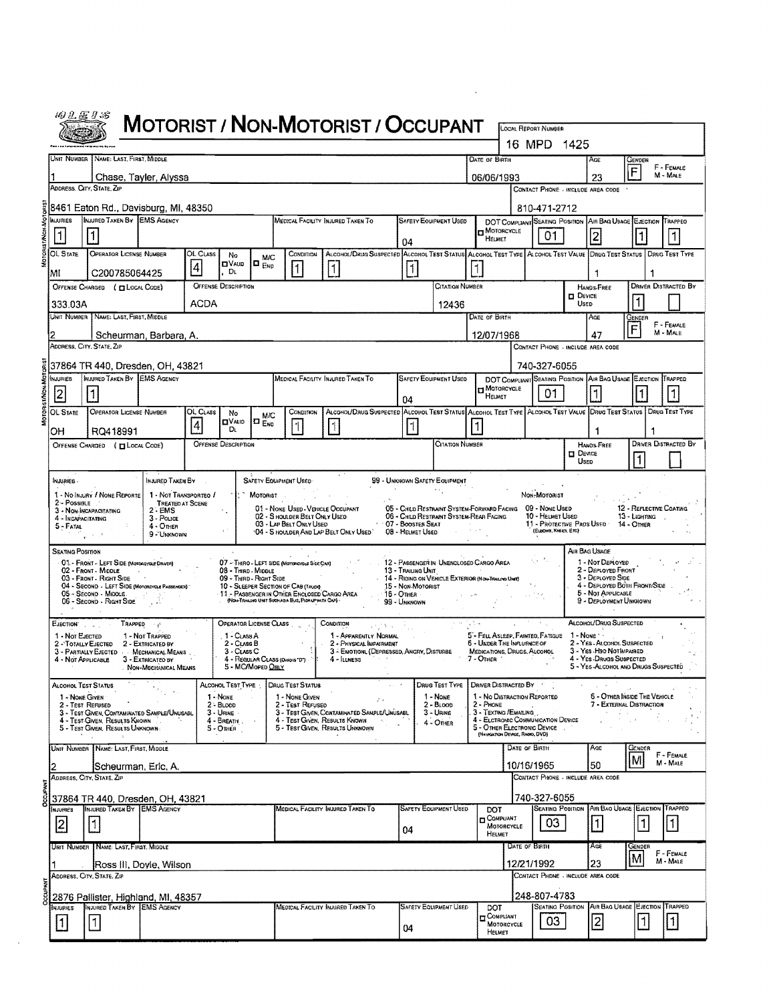| $\frac{1}{2}$<br>សា<br>.,<br>87.<br>×, |
|----------------------------------------|
|                                        |
|                                        |

## MOTORIST / NON-MOTORIST / OCCUPANT

| 16 MPD 1425                                                                                                  |                                                                                                                                                                                                                                                                                  |                                                                                                  |                                                                                                                                                                |                    |                                         |                                         |                                                                                                    |                                                                                                                   |                               |                                                                                                      |                                  |                                 |                                                   |                       |                                                               |                                          |                             |
|--------------------------------------------------------------------------------------------------------------|----------------------------------------------------------------------------------------------------------------------------------------------------------------------------------------------------------------------------------------------------------------------------------|--------------------------------------------------------------------------------------------------|----------------------------------------------------------------------------------------------------------------------------------------------------------------|--------------------|-----------------------------------------|-----------------------------------------|----------------------------------------------------------------------------------------------------|-------------------------------------------------------------------------------------------------------------------|-------------------------------|------------------------------------------------------------------------------------------------------|----------------------------------|---------------------------------|---------------------------------------------------|-----------------------|---------------------------------------------------------------|------------------------------------------|-----------------------------|
| UNIT NUMBER   NAME: LAST, FIRST, MIDDLE<br><b>DATE OF BIRTH</b>                                              |                                                                                                                                                                                                                                                                                  |                                                                                                  |                                                                                                                                                                |                    |                                         |                                         |                                                                                                    |                                                                                                                   |                               |                                                                                                      | Age<br>GENDER<br>F - FEMALE<br>F |                                 |                                                   |                       |                                                               |                                          |                             |
|                                                                                                              |                                                                                                                                                                                                                                                                                  | Chase, Tayler, Alyssa<br>Address, City, State, Zip                                               |                                                                                                                                                                |                    |                                         |                                         |                                                                                                    |                                                                                                                   |                               |                                                                                                      | 06/06/1993                       |                                 | CONTACT PHONE - INCLUDE AREA CODE                 |                       | 23                                                            |                                          | M - MALE                    |
| 8461 Eaton Rd., Davisburg, MI, 48350                                                                         |                                                                                                                                                                                                                                                                                  |                                                                                                  |                                                                                                                                                                |                    |                                         |                                         |                                                                                                    |                                                                                                                   |                               |                                                                                                      |                                  | 810-471-2712                    |                                                   |                       |                                                               |                                          |                             |
|                                                                                                              | <b>MJURIES</b>                                                                                                                                                                                                                                                                   | INJURED TAKEN BY IEMS AGENCY                                                                     |                                                                                                                                                                |                    |                                         |                                         |                                                                                                    | MEDICAL FACILITY INJURED TAKEN TO                                                                                 |                               | <b>SAFETY EQUIPMENT USED</b>                                                                         |                                  |                                 |                                                   |                       | DOT COMPLIANT SEATING POSITION AIR BAG USAGE EJECTION TRAPPED |                                          |                             |
|                                                                                                              | 11                                                                                                                                                                                                                                                                               |                                                                                                  |                                                                                                                                                                |                    |                                         |                                         |                                                                                                    |                                                                                                                   | 04                            |                                                                                                      | HELMET                           | MOTORCYCLE                      | 01.                                               |                       | 2                                                             |                                          |                             |
|                                                                                                              | OL State                                                                                                                                                                                                                                                                         | <b>OPERATOR LICENSE NUMBER</b>                                                                   | OL CLASS<br>CONDITION<br>ALCOHOL/DRUG SUSPECTED ALCOHOL TEST STATUS ALCOHOL TEST TYPE ALCOHOL TEST VALUE DRUG TEST STATUS   DRUG TEST TYPE<br>No<br><b>M/C</b> |                    |                                         |                                         |                                                                                                    |                                                                                                                   |                               |                                                                                                      |                                  |                                 |                                                   |                       |                                                               |                                          |                             |
|                                                                                                              | $\Box$ $_{ENO}$<br><b>ELVAUD</b><br>$\overline{4}$<br> 1 <br> 1<br> 1 <br>. Di<br>C200785064425<br>MI<br><b>OFFENSE DESCRIPTION</b><br>CITATION NUMBER<br>OFFENSE CHARGED ( CLOCAL CODE)<br>ACDA<br>333.03A<br>12436<br>Unit Number   Name: Last, First, Middle<br>DATE OF BIRTH |                                                                                                  |                                                                                                                                                                |                    |                                         |                                         |                                                                                                    |                                                                                                                   |                               |                                                                                                      |                                  |                                 |                                                   |                       | 1                                                             |                                          |                             |
|                                                                                                              |                                                                                                                                                                                                                                                                                  |                                                                                                  |                                                                                                                                                                |                    |                                         |                                         |                                                                                                    |                                                                                                                   |                               |                                                                                                      |                                  |                                 |                                                   | <b>DEVICE</b>         | <b>HANDS-FREE</b>                                             |                                          | <b>DRIVER DISTRACTED BY</b> |
|                                                                                                              |                                                                                                                                                                                                                                                                                  |                                                                                                  |                                                                                                                                                                |                    |                                         |                                         |                                                                                                    |                                                                                                                   |                               |                                                                                                      |                                  |                                 |                                                   | USED                  |                                                               |                                          |                             |
|                                                                                                              |                                                                                                                                                                                                                                                                                  |                                                                                                  |                                                                                                                                                                |                    |                                         |                                         |                                                                                                    |                                                                                                                   |                               |                                                                                                      |                                  |                                 |                                                   |                       | AGE                                                           | Gender<br>F                              | F - FEMALE<br>M - MALE      |
| 12/07/1968<br>47<br>Scheurman, Barbara, A.<br>ADDRESS, CITY, STATE, ZIP<br>CONTACT PHONE - INCLUDE AREA CODE |                                                                                                                                                                                                                                                                                  |                                                                                                  |                                                                                                                                                                |                    |                                         |                                         |                                                                                                    |                                                                                                                   |                               |                                                                                                      |                                  |                                 |                                                   |                       |                                                               |                                          |                             |
|                                                                                                              |                                                                                                                                                                                                                                                                                  | 37864 TR 440, Dresden, OH, 43821                                                                 |                                                                                                                                                                |                    |                                         |                                         |                                                                                                    |                                                                                                                   |                               |                                                                                                      |                                  |                                 | 740-327-6055                                      |                       |                                                               |                                          |                             |
|                                                                                                              | NJURIES                                                                                                                                                                                                                                                                          | MURED TAKEN BY EMS AGENCY                                                                        |                                                                                                                                                                |                    |                                         |                                         |                                                                                                    | MEDICAL FACILITY INJURED TAKEN TO                                                                                 |                               | <b>SAFETY EQUIPMENT USED</b>                                                                         |                                  | MOTORCYCLE                      |                                                   |                       | DOT COMPLIANT SEATING POSITION AIR BAG USAGE EJECTION TRAPPED |                                          |                             |
|                                                                                                              | 12                                                                                                                                                                                                                                                                               |                                                                                                  |                                                                                                                                                                |                    |                                         |                                         |                                                                                                    |                                                                                                                   | 04                            |                                                                                                      | HELMET                           |                                 | 01                                                |                       |                                                               |                                          |                             |
|                                                                                                              | OL STATE                                                                                                                                                                                                                                                                         | <b>OPERATOR LICENSE NUMBER</b>                                                                   |                                                                                                                                                                | OL CLASS           | No<br><b>OVAID</b>                      | <b>M/C</b><br>$\square$ $_{\text{EVD}}$ | CONDITION                                                                                          | ALCONOL/DRUG SUSPECTED ALCONOL TEST STATUS ALCONOL TEST TYPE ALCONOL TEST VALUE DRUG TEST STATUS   DRUG TEST TYPE |                               |                                                                                                      |                                  |                                 |                                                   |                       |                                                               |                                          |                             |
|                                                                                                              | OН                                                                                                                                                                                                                                                                               | RQ418991                                                                                         |                                                                                                                                                                | $\overline{\bf 4}$ | Dı.                                     |                                         | $\overline{\mathbf{1}}$                                                                            | $\uparrow$                                                                                                        | $\vert$ 1                     |                                                                                                      |                                  |                                 |                                                   |                       |                                                               |                                          |                             |
|                                                                                                              |                                                                                                                                                                                                                                                                                  | OFFENSE CHARGED ( [ LOCAL CODE)                                                                  |                                                                                                                                                                |                    | <b>OFFENSE DESCRIPTION</b>              |                                         |                                                                                                    |                                                                                                                   |                               | <b>CITATION NUMBER</b>                                                                               |                                  |                                 |                                                   | <b>DEVICE</b><br>Usep | <b>HANDS-FREE</b>                                             |                                          | <b>DRIVER DISTRACTED BY</b> |
|                                                                                                              | - a sinu ni                                                                                                                                                                                                                                                                      |                                                                                                  | INJURED TAKEN BY                                                                                                                                               |                    |                                         |                                         | SAFETY EQUIPMENT USED                                                                              |                                                                                                                   |                               | 99 - UNKNOWN SAFETY EQUIPMENT                                                                        |                                  |                                 |                                                   |                       |                                                               |                                          |                             |
|                                                                                                              |                                                                                                                                                                                                                                                                                  | 1 - No Inaury / None Reporte                                                                     | 1 - NOT TRANSPORTED /                                                                                                                                          |                    |                                         | MOTORIST                                |                                                                                                    |                                                                                                                   |                               |                                                                                                      |                                  |                                 | NON-MOTORIST                                      |                       |                                                               |                                          |                             |
|                                                                                                              | 2 - POSSIBLE<br>4 - INCAPACITATING                                                                                                                                                                                                                                               | 3 - Non-Incapacitating                                                                           | <b>TREATED AT SCENE</b><br>$2 - EMS$<br>3 - Pouce                                                                                                              |                    |                                         |                                         | 01 - NONE USED - VEHICLE OCCUPANT<br>02 - S HOULDER BELT ONLY USED                                 |                                                                                                                   |                               | 05 - CHILD RESTRAINT SYSTEM-FORWARD FACING 09 - NOME USED<br>06 - CHILD RESTRAINT SYSTEM-REAR FACING |                                  |                                 | 10 - HELMET USED                                  |                       |                                                               | 12 - REFLECTIVE COATING<br>13 - LIGHTING |                             |
|                                                                                                              | 5 - Fatal                                                                                                                                                                                                                                                                        |                                                                                                  | 4 - Other<br>9 - UNKNOWN                                                                                                                                       |                    |                                         |                                         | 03 - LAP BELT ONLY USED                                                                            | '04 - S HOULDER AND LAP BELT ONLY USED' 08 - HELMET USED                                                          | $\cdots$ 07 - Booster Seat    |                                                                                                      |                                  |                                 | 11 - Protective Pads Used<br>(ELBOWG, KNEES, ETC) |                       |                                                               | 14 - Omer                                |                             |
|                                                                                                              | Seating Position                                                                                                                                                                                                                                                                 |                                                                                                  |                                                                                                                                                                |                    |                                         |                                         |                                                                                                    |                                                                                                                   |                               |                                                                                                      |                                  |                                 |                                                   |                       | AIR BAG USAGE                                                 |                                          |                             |
|                                                                                                              |                                                                                                                                                                                                                                                                                  | 01. FRONT - LEFT SIDE (MOTORCYCLE DRIVER)<br>02 - FRONT - MIDDLE                                 |                                                                                                                                                                |                    | 08 - Third - Middle                     |                                         | 07 - THIRO - LEFT SIDE (Motorcheus Side CAR)                                                       |                                                                                                                   | 13 - Traling Unit             | 12 - PASSENGER IN UNENCLOSED CARGO AREA                                                              |                                  |                                 |                                                   |                       | 1 - Nor Deployed<br>2 - DEPLOYED FRONT                        |                                          |                             |
|                                                                                                              |                                                                                                                                                                                                                                                                                  | 03 - Front - Right Side<br>04 - SECOND - LEFT SIDE (MOTORCYCLE PASSENGER)                        |                                                                                                                                                                |                    | 09 - THIRD - RIGHT SIDE                 |                                         | 10 - SLEEPER SECTION OF CAB (TRUCK)                                                                |                                                                                                                   | 15 - Non-Motorist             | 14 - RIDING ON VEHICLE EXTERIOR (NON-TRALPO UM)                                                      |                                  |                                 |                                                   |                       | 3 - DEPLOYED SIDE<br>4 - DEPLOYED BOTH FRONT/SIDE             |                                          |                             |
|                                                                                                              |                                                                                                                                                                                                                                                                                  | 05 - SECOND - MIDDLE<br>06 - Second - Right Side                                                 | コントライン                                                                                                                                                         |                    |                                         |                                         | 11 - Passenger in Other Enclosed Cargo Area<br>(NO+TRAILIKE UNIT SUCH ASA BUS, PICK-UP WITH CAP) - |                                                                                                                   | $-16 -$ Other<br>99 - Unknown |                                                                                                      |                                  |                                 | 128.                                              |                       | 5 - NOT APPLICABLE<br>9 - DEPLOYMENT UNKNOWN                  |                                          |                             |
|                                                                                                              | $E_{\text{JECTION}}$ , $\qquad \qquad$                                                                                                                                                                                                                                           | TRAPPED                                                                                          |                                                                                                                                                                |                    | OPERATOR LICENSE CLASS                  |                                         |                                                                                                    | CONDITION                                                                                                         |                               |                                                                                                      |                                  |                                 |                                                   |                       | ALCOHOL/DRUG SUSPECTED                                        |                                          |                             |
|                                                                                                              | 1 - Not EJECTED<br>2 - TOTALLY EJECTED                                                                                                                                                                                                                                           |                                                                                                  | 1 - Not Trapped<br>2 - EXTRICATED BY                                                                                                                           |                    | 1 - CLASS A<br>2 - CLASS B              |                                         |                                                                                                    | 1 - APPARENTLY NORMAL<br>2 - PHYSICAL IMPAIRMENT                                                                  |                               |                                                                                                      |                                  | 6 - UNDER THE INFLUENCE OF      | 5 - FELL ASLEEP, FARMED, FATIGUE                  |                       | 1 - None 1 -<br>2 - Yes - ALCOHOL SUSPECTED                   |                                          |                             |
|                                                                                                              | 4 - NOT APPLICABLE                                                                                                                                                                                                                                                               | 3 - PARTIALLY EJECTED - MECHANICAL MEANS                                                         | 3 - EXTRICATEO BY                                                                                                                                              |                    | 3 - CLASS C                             |                                         | 4 - REGULAR CLASS (OHIOIS "D")                                                                     | 3 - EMOTIONL (DEPRESSED, ANGRY, DISTURBE<br>$4 -$ ILLNESS<br>$\kappa = -1$                                        |                               |                                                                                                      | $7 -$ Other $^{-1}$              | MEDICATIONS, DRUGS, ALCOHOL     |                                                   |                       | 3 - Yes - H9D NOT MPAIRED<br>4 - YES-DRUGS SUSPECTED          |                                          |                             |
|                                                                                                              |                                                                                                                                                                                                                                                                                  |                                                                                                  | . Non-Mechanical Means                                                                                                                                         |                    |                                         | 5 - MC/Moped ONLY                       |                                                                                                    |                                                                                                                   | $\omega_{\rm{max}}=3$         | DRUG TEST TYPE   DRIVER DISTRACTED BY                                                                |                                  |                                 |                                                   |                       | 5 - YES-ALCOHOL AND DRUGS SUSPECTED                           |                                          |                             |
|                                                                                                              | ALCOHOL TEST STATUS<br>1 - NONE GIVEN                                                                                                                                                                                                                                            |                                                                                                  |                                                                                                                                                                |                    | ALCOHOL TEST TYPE<br>1 - NONE           |                                         | DRUG TEST STATUS<br>1 - NONE GIVEN                                                                 | $\mathcal{F} \times$                                                                                              |                               | 1 - None                                                                                             |                                  | 1 - No DISTRACTION REPORTED     |                                                   |                       |                                                               | 6 - OTHER INSIDE THE VEHICLE             |                             |
|                                                                                                              |                                                                                                                                                                                                                                                                                  | 2 - Test Refused<br>3 - TEST GIVEN, CONTAMINATED SAMPLE/UNUSABL<br>4 - Test Given, Results Known |                                                                                                                                                                |                    | 2 - BLoop<br>$3 -$ URINE<br>4 - BREATH, |                                         | - Test Refused                                                                                     | 3 - TEST GIVEN, CONTAMINATED SAMPLE/UNUSABL<br>4 - Test Given, Results Known                                      |                               | $2 - B$ Loop<br>3 - Urine                                                                            | $2 -$ Phone                      | 3 - TEXTING/EMAILING            | 4 - ELCTRONIC COMMUNICATION DEVICE                |                       | 医心室病                                                          | 7 - EXTERNAL DISTRACTION                 |                             |
|                                                                                                              |                                                                                                                                                                                                                                                                                  | 5 - TEST GIVEN, RESULTS UNKNOWN.                                                                 |                                                                                                                                                                |                    | 5 - OTHER                               |                                         |                                                                                                    | 5 - Test Given, Results Unknown                                                                                   |                               | 4 - OTHER                                                                                            |                                  | (NAVIGATION DEVICE, RADIO, DVD) | 5 - OTHER ELECTRONIC DEVICE .                     |                       |                                                               |                                          |                             |
|                                                                                                              |                                                                                                                                                                                                                                                                                  | UNIT NUMBER   NAME: LAST, FIRST, MIDDLE                                                          |                                                                                                                                                                |                    |                                         |                                         |                                                                                                    |                                                                                                                   |                               |                                                                                                      |                                  | DATE OF BIRTH                   |                                                   |                       | Age                                                           | Gender                                   | F - FEMALE                  |
|                                                                                                              |                                                                                                                                                                                                                                                                                  | Scheurman, Eric, A.                                                                              |                                                                                                                                                                |                    |                                         |                                         |                                                                                                    |                                                                                                                   |                               |                                                                                                      |                                  | 10/16/1965                      | CONTACT PHONE - INCLUDE AREA CODE                 |                       | 50                                                            | M                                        | M - MALE                    |
|                                                                                                              |                                                                                                                                                                                                                                                                                  | ADDRESS, CITY, STATE, ZP                                                                         |                                                                                                                                                                |                    |                                         |                                         |                                                                                                    |                                                                                                                   |                               |                                                                                                      |                                  |                                 |                                                   |                       |                                                               |                                          |                             |
|                                                                                                              | NJURIES                                                                                                                                                                                                                                                                          | 37864 TR 440, Dresden, OH, 43821<br>INJURED TAKEN BY EMS AGENCY                                  |                                                                                                                                                                |                    |                                         |                                         |                                                                                                    | MEDICAL FACILITY INJURED TAKEN TO                                                                                 |                               | <b>SAFETY EQUIPMENT USED</b>                                                                         | DOT                              |                                 | 740-327-6055                                      |                       | <b>SEATING POSITION AIR BAG USAGE EJECTION TRAPPED</b>        |                                          |                             |
|                                                                                                              | 2                                                                                                                                                                                                                                                                                | $\vert$ 1                                                                                        |                                                                                                                                                                |                    |                                         |                                         |                                                                                                    |                                                                                                                   | 04                            |                                                                                                      | COMPUANT                         | MOTORCYCLE                      | 03                                                |                       | $\vert$ 1                                                     | $\vert$ 1                                | $\vert$                     |
|                                                                                                              |                                                                                                                                                                                                                                                                                  | UNIT NUMBER   NAME: LAST, FIRST, MIDDLE                                                          |                                                                                                                                                                |                    |                                         |                                         |                                                                                                    |                                                                                                                   |                               |                                                                                                      | HELMET                           | DATE OF BIRTH                   |                                                   |                       | AGE                                                           | GENDER                                   |                             |
|                                                                                                              |                                                                                                                                                                                                                                                                                  | [Ross III, Doyle, Wilson                                                                         |                                                                                                                                                                |                    |                                         |                                         |                                                                                                    |                                                                                                                   |                               |                                                                                                      |                                  | 12/21/1992                      |                                                   |                       | 23                                                            | ١M                                       | F - FEMALE<br>$M - MALE$    |
|                                                                                                              |                                                                                                                                                                                                                                                                                  | ADDRESS, CITY, STATE, ZIP                                                                        |                                                                                                                                                                |                    |                                         |                                         |                                                                                                    |                                                                                                                   |                               |                                                                                                      |                                  |                                 | CONTACT PHONE - INCLUDE AREA CODE                 |                       |                                                               |                                          |                             |
|                                                                                                              |                                                                                                                                                                                                                                                                                  | 2876 Pallister, Highland, MI, 48357                                                              |                                                                                                                                                                |                    |                                         |                                         |                                                                                                    |                                                                                                                   |                               |                                                                                                      |                                  |                                 | 248-807-4783                                      |                       |                                                               |                                          |                             |
|                                                                                                              | <b>NJURIES</b>                                                                                                                                                                                                                                                                   | INJURED TAKEN BY EMS AGENCY                                                                      |                                                                                                                                                                |                    |                                         |                                         |                                                                                                    | MEDICAL FACILITY INJURED TAKEN TO                                                                                 |                               | <b>SAFETY EQUIPMENT USED</b>                                                                         | DOT<br>COMPLIANT                 |                                 | <b>SEATING POSITION</b><br>03                     |                       |                                                               | AIR BAG USAGE EJECTION TRAPPED<br>1      | $\vert$ 1                   |
|                                                                                                              | $\vert$ 1                                                                                                                                                                                                                                                                        | 1                                                                                                |                                                                                                                                                                |                    |                                         |                                         |                                                                                                    |                                                                                                                   | 04                            |                                                                                                      | HELMET                           | MOTORCYCLE                      |                                                   |                       | $\overline{2}$                                                |                                          |                             |